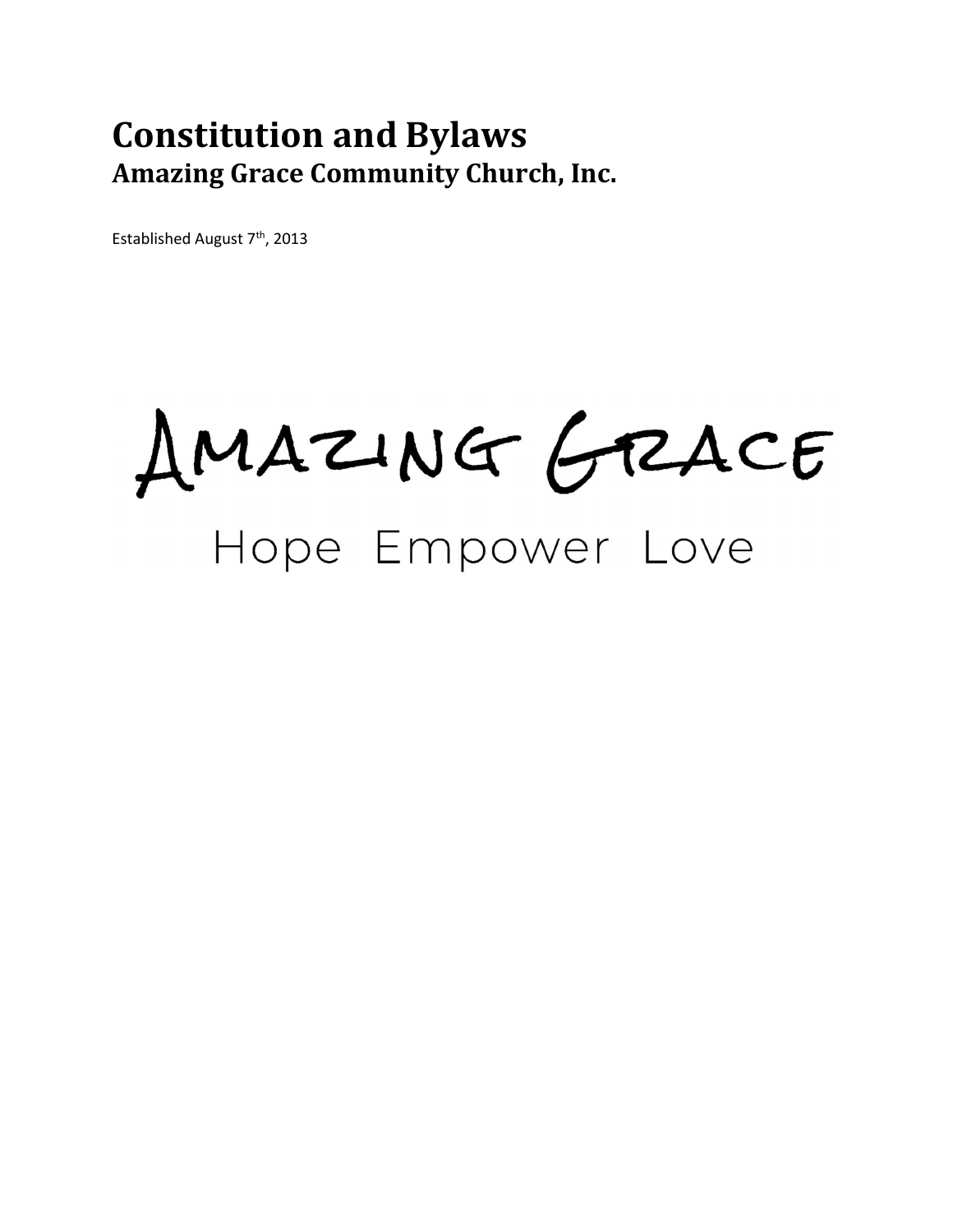# Constitution and Bylaws Amazing Grace Community Church, Inc.

Established August 7<sup>th</sup>, 2013

AMAZING GRACE Hope Empower Love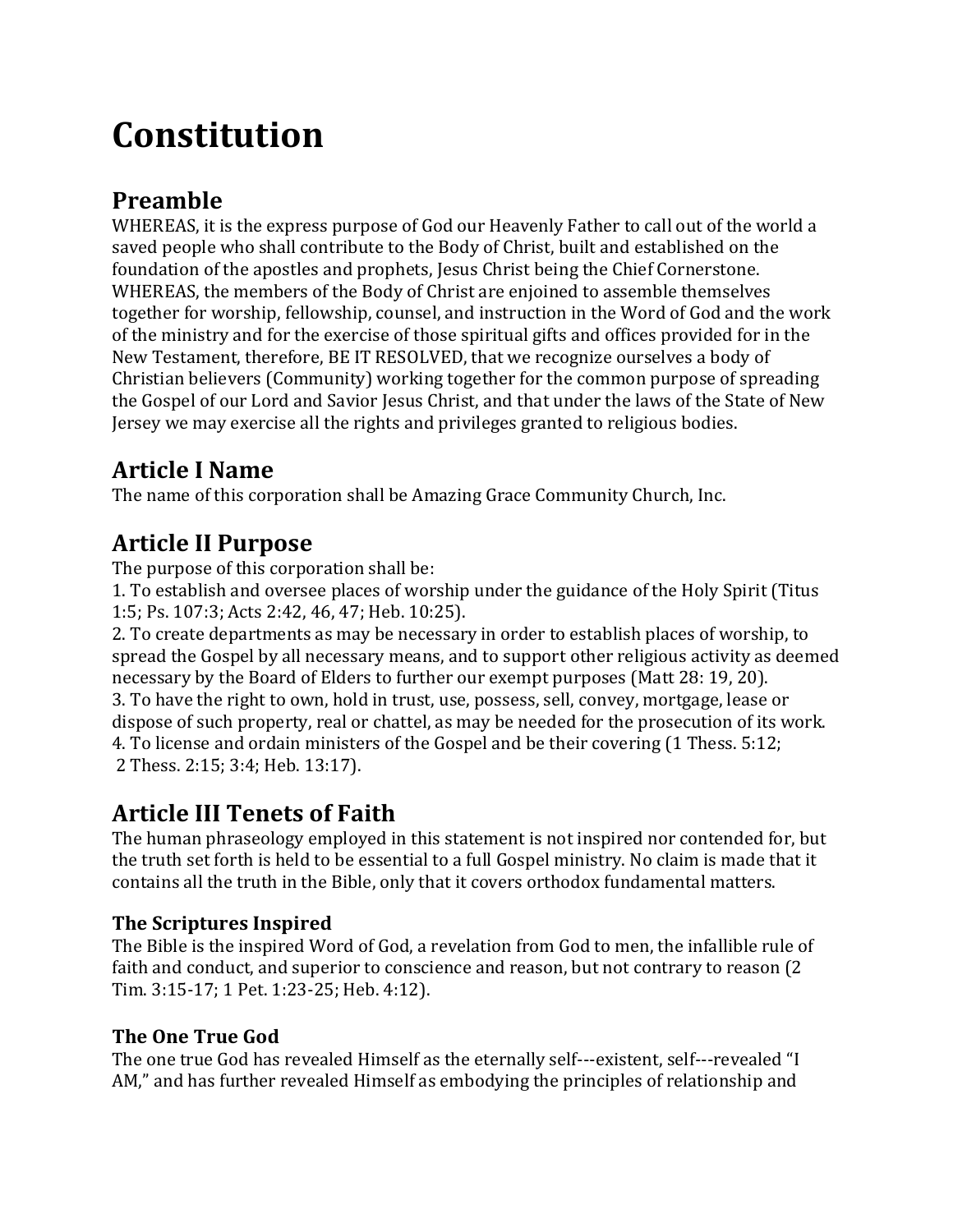# Constitution

# Preamble

WHEREAS, it is the express purpose of God our Heavenly Father to call out of the world a saved people who shall contribute to the Body of Christ, built and established on the foundation of the apostles and prophets, Jesus Christ being the Chief Cornerstone. WHEREAS, the members of the Body of Christ are enjoined to assemble themselves together for worship, fellowship, counsel, and instruction in the Word of God and the work of the ministry and for the exercise of those spiritual gifts and offices provided for in the New Testament, therefore, BE IT RESOLVED, that we recognize ourselves a body of Christian believers (Community) working together for the common purpose of spreading the Gospel of our Lord and Savior Jesus Christ, and that under the laws of the State of New Jersey we may exercise all the rights and privileges granted to religious bodies.

# Article I Name

The name of this corporation shall be Amazing Grace Community Church, Inc.

# Article II Purpose

The purpose of this corporation shall be:

1. To establish and oversee places of worship under the guidance of the Holy Spirit (Titus 1:5; Ps. 107:3; Acts 2:42, 46, 47; Heb. 10:25).

2. To create departments as may be necessary in order to establish places of worship, to spread the Gospel by all necessary means, and to support other religious activity as deemed necessary by the Board of Elders to further our exempt purposes (Matt 28: 19, 20).

3. To have the right to own, hold in trust, use, possess, sell, convey, mortgage, lease or dispose of such property, real or chattel, as may be needed for the prosecution of its work. 4. To license and ordain ministers of the Gospel and be their covering (1 Thess. 5:12; 2 Thess. 2:15; 3:4; Heb. 13:17).

# Article III Tenets of Faith

The human phraseology employed in this statement is not inspired nor contended for, but the truth set forth is held to be essential to a full Gospel ministry. No claim is made that it contains all the truth in the Bible, only that it covers orthodox fundamental matters.

### The Scriptures Inspired

The Bible is the inspired Word of God, a revelation from God to men, the infallible rule of faith and conduct, and superior to conscience and reason, but not contrary to reason (2 Tim. 3:15-17; 1 Pet. 1:23-25; Heb. 4:12).

### The One True God

The one true God has revealed Himself as the eternally self---existent, self---revealed "I AM," and has further revealed Himself as embodying the principles of relationship and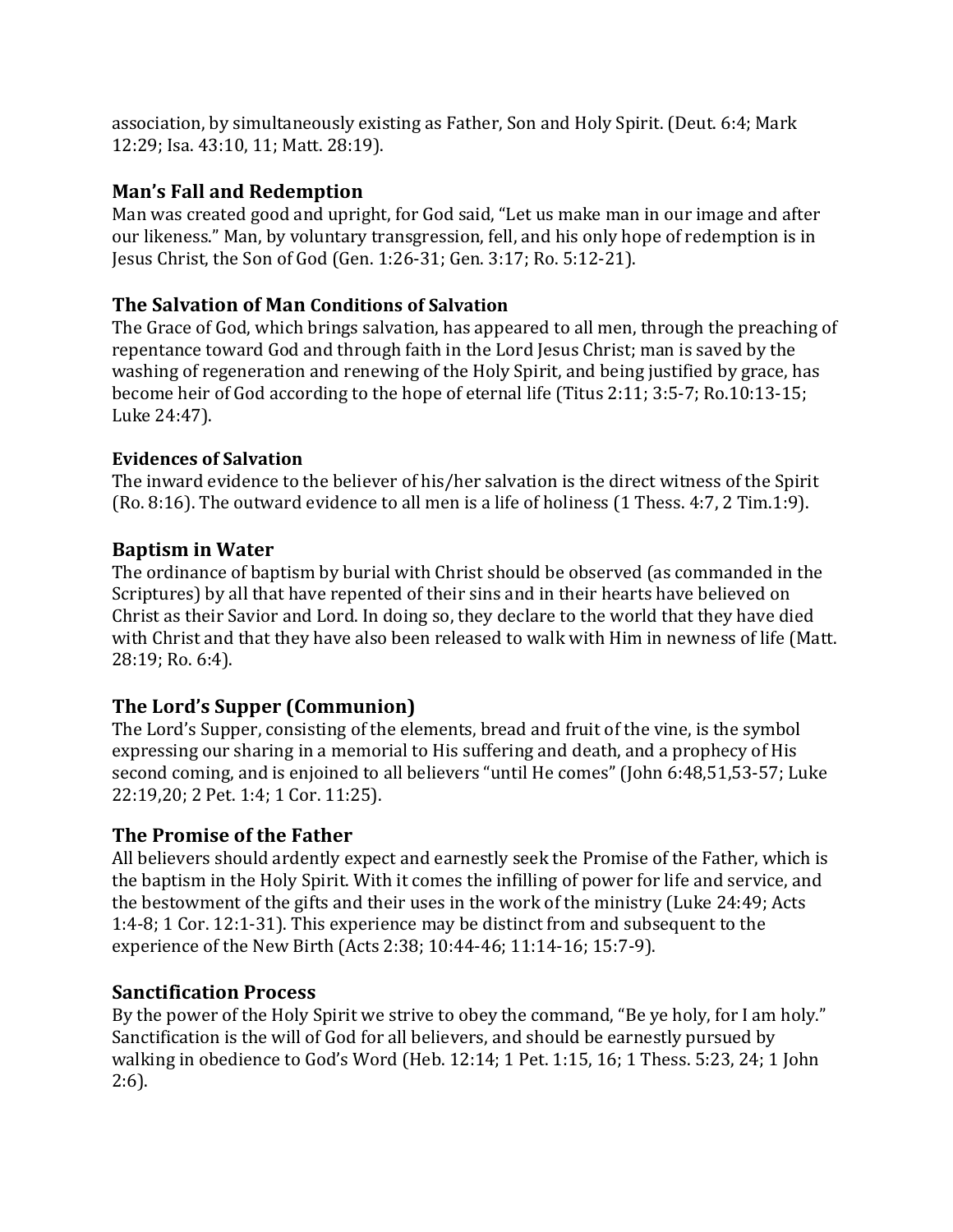association, by simultaneously existing as Father, Son and Holy Spirit. (Deut. 6:4; Mark 12:29; Isa. 43:10, 11; Matt. 28:19).

#### Man's Fall and Redemption

Man was created good and upright, for God said, "Let us make man in our image and after our likeness." Man, by voluntary transgression, fell, and his only hope of redemption is in Jesus Christ, the Son of God (Gen. 1:26-31; Gen. 3:17; Ro. 5:12-21).

#### The Salvation of Man Conditions of Salvation

The Grace of God, which brings salvation, has appeared to all men, through the preaching of repentance toward God and through faith in the Lord Jesus Christ; man is saved by the washing of regeneration and renewing of the Holy Spirit, and being justified by grace, has become heir of God according to the hope of eternal life (Titus 2:11; 3:5-7; Ro.10:13-15; Luke 24:47).

#### Evidences of Salvation

The inward evidence to the believer of his/her salvation is the direct witness of the Spirit (Ro. 8:16). The outward evidence to all men is a life of holiness (1 Thess. 4:7, 2 Tim.1:9).

#### Baptism in Water

The ordinance of baptism by burial with Christ should be observed (as commanded in the Scriptures) by all that have repented of their sins and in their hearts have believed on Christ as their Savior and Lord. In doing so, they declare to the world that they have died with Christ and that they have also been released to walk with Him in newness of life (Matt. 28:19; Ro. 6:4).

#### The Lord's Supper (Communion)

The Lord's Supper, consisting of the elements, bread and fruit of the vine, is the symbol expressing our sharing in a memorial to His suffering and death, and a prophecy of His second coming, and is enjoined to all believers "until He comes" (John 6:48,51,53-57; Luke 22:19,20; 2 Pet. 1:4; 1 Cor. 11:25).

#### The Promise of the Father

All believers should ardently expect and earnestly seek the Promise of the Father, which is the baptism in the Holy Spirit. With it comes the infilling of power for life and service, and the bestowment of the gifts and their uses in the work of the ministry (Luke 24:49; Acts 1:4-8; 1 Cor. 12:1-31). This experience may be distinct from and subsequent to the experience of the New Birth (Acts 2:38; 10:44-46; 11:14-16; 15:7-9).

#### Sanctification Process

By the power of the Holy Spirit we strive to obey the command, "Be ye holy, for I am holy." Sanctification is the will of God for all believers, and should be earnestly pursued by walking in obedience to God's Word (Heb. 12:14; 1 Pet. 1:15, 16; 1 Thess. 5:23, 24; 1 John 2:6).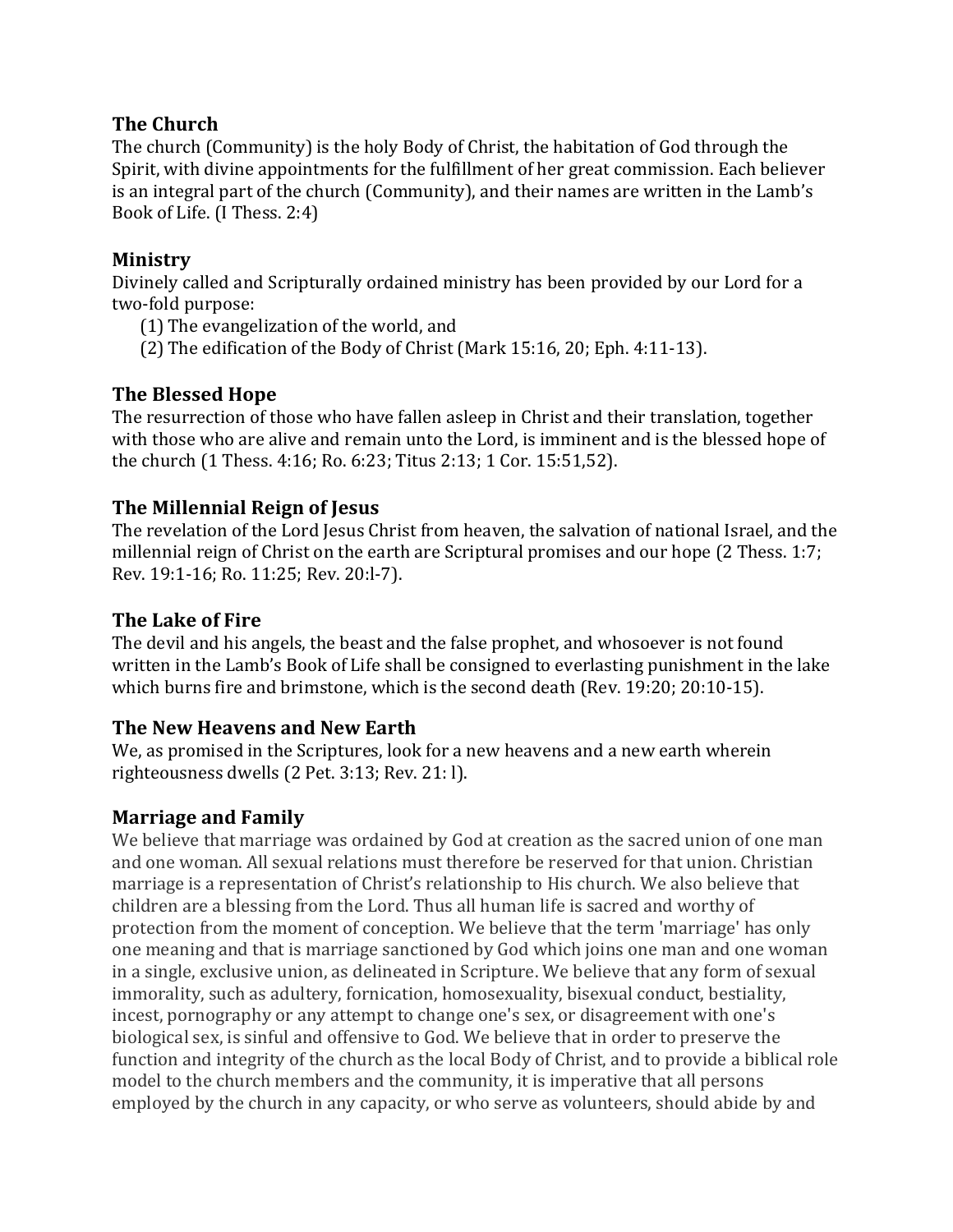#### The Church

The church (Community) is the holy Body of Christ, the habitation of God through the Spirit, with divine appointments for the fulfillment of her great commission. Each believer is an integral part of the church (Community), and their names are written in the Lamb's Book of Life. (I Thess. 2:4)

#### Ministry

Divinely called and Scripturally ordained ministry has been provided by our Lord for a two-fold purpose:

- (1) The evangelization of the world, and
- (2) The edification of the Body of Christ (Mark 15:16, 20; Eph. 4:11-13).

#### The Blessed Hope

The resurrection of those who have fallen asleep in Christ and their translation, together with those who are alive and remain unto the Lord, is imminent and is the blessed hope of the church (1 Thess. 4:16; Ro. 6:23; Titus 2:13; 1 Cor. 15:51,52).

#### The Millennial Reign of Jesus

The revelation of the Lord Jesus Christ from heaven, the salvation of national Israel, and the millennial reign of Christ on the earth are Scriptural promises and our hope (2 Thess. 1:7; Rev. 19:1-16; Ro. 11:25; Rev. 20:l-7).

#### The Lake of Fire

The devil and his angels, the beast and the false prophet, and whosoever is not found written in the Lamb's Book of Life shall be consigned to everlasting punishment in the lake which burns fire and brimstone, which is the second death (Rev. 19:20; 20:10-15).

#### The New Heavens and New Earth

We, as promised in the Scriptures, look for a new heavens and a new earth wherein righteousness dwells (2 Pet. 3:13; Rev. 21: l).

#### Marriage and Family

We believe that marriage was ordained by God at creation as the sacred union of one man and one woman. All sexual relations must therefore be reserved for that union. Christian marriage is a representation of Christ's relationship to His church. We also believe that children are a blessing from the Lord. Thus all human life is sacred and worthy of protection from the moment of conception. We believe that the term 'marriage' has only one meaning and that is marriage sanctioned by God which joins one man and one woman in a single, exclusive union, as delineated in Scripture. We believe that any form of sexual immorality, such as adultery, fornication, homosexuality, bisexual conduct, bestiality, incest, pornography or any attempt to change one's sex, or disagreement with one's biological sex, is sinful and offensive to God. We believe that in order to preserve the function and integrity of the church as the local Body of Christ, and to provide a biblical role model to the church members and the community, it is imperative that all persons employed by the church in any capacity, or who serve as volunteers, should abide by and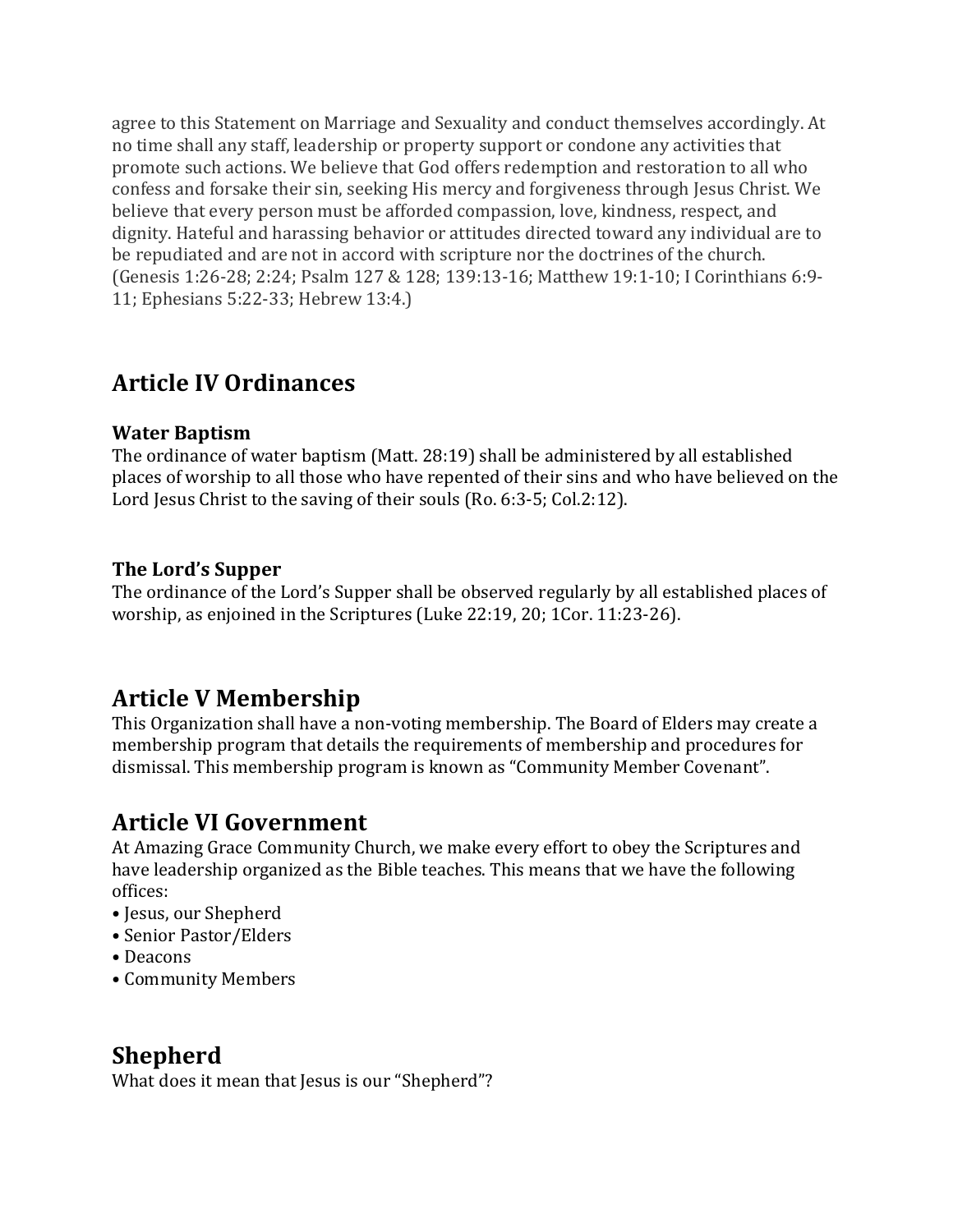agree to this Statement on Marriage and Sexuality and conduct themselves accordingly. At no time shall any staff, leadership or property support or condone any activities that promote such actions. We believe that God offers redemption and restoration to all who confess and forsake their sin, seeking His mercy and forgiveness through Jesus Christ. We believe that every person must be afforded compassion, love, kindness, respect, and dignity. Hateful and harassing behavior or attitudes directed toward any individual are to be repudiated and are not in accord with scripture nor the doctrines of the church. (Genesis 1:26-28; 2:24; Psalm 127 & 128; 139:13-16; Matthew 19:1-10; I Corinthians 6:9- 11; Ephesians 5:22-33; Hebrew 13:4.)

### Article IV Ordinances

#### Water Baptism

The ordinance of water baptism (Matt. 28:19) shall be administered by all established places of worship to all those who have repented of their sins and who have believed on the Lord Jesus Christ to the saving of their souls (Ro. 6:3-5; Col.2:12).

#### The Lord's Supper

The ordinance of the Lord's Supper shall be observed regularly by all established places of worship, as enjoined in the Scriptures (Luke 22:19, 20; 1Cor. 11:23-26).

### Article V Membership

This Organization shall have a non-voting membership. The Board of Elders may create a membership program that details the requirements of membership and procedures for dismissal. This membership program is known as "Community Member Covenant".

### Article VI Government

At Amazing Grace Community Church, we make every effort to obey the Scriptures and have leadership organized as the Bible teaches. This means that we have the following offices:

- Jesus, our Shepherd
- Senior Pastor/Elders
- Deacons
- Community Members

### Shepherd

What does it mean that Jesus is our "Shepherd"?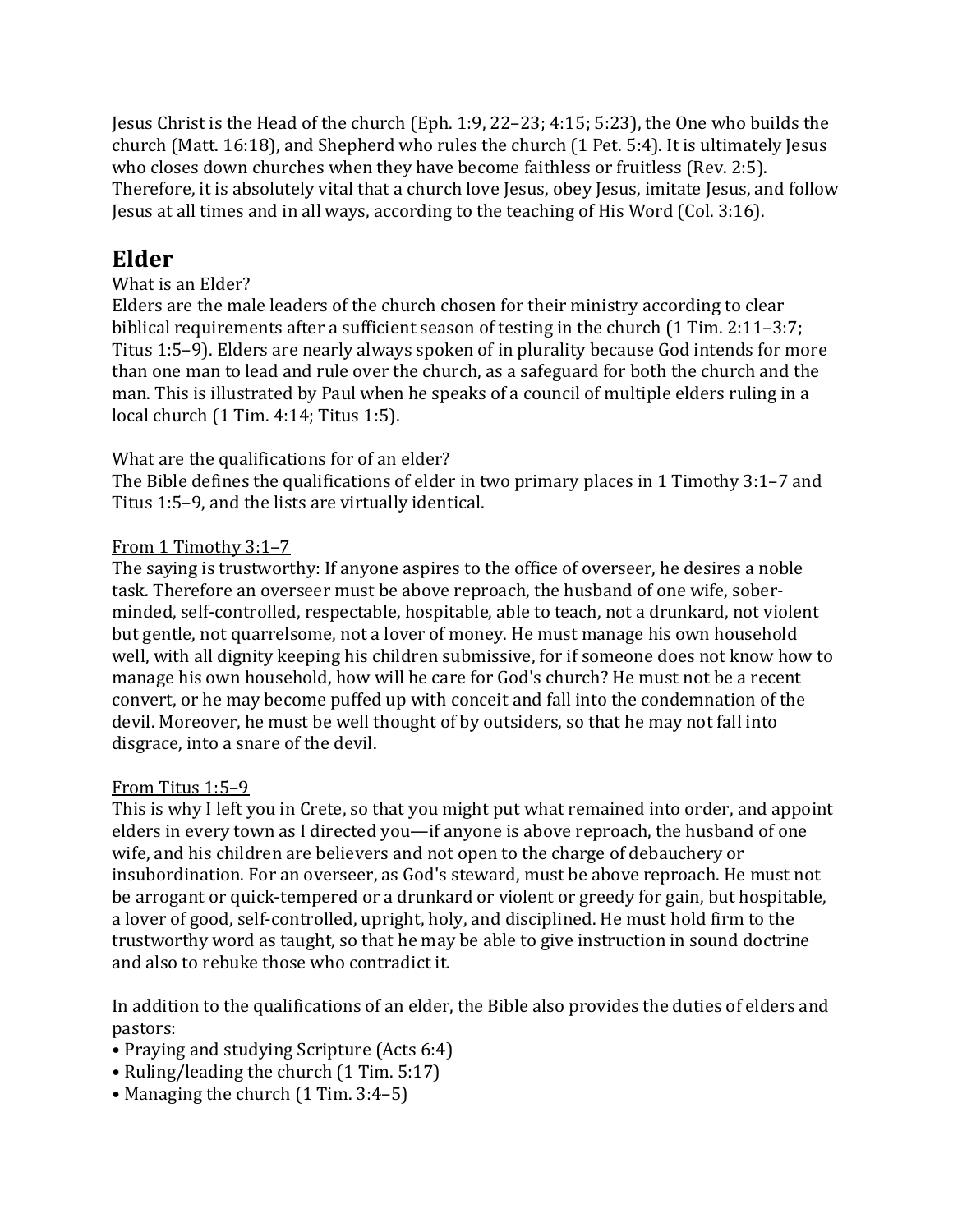Jesus Christ is the Head of the church (Eph. 1:9, 22–23; 4:15; 5:23), the One who builds the church (Matt. 16:18), and Shepherd who rules the church (1 Pet. 5:4). It is ultimately Jesus who closes down churches when they have become faithless or fruitless (Rev. 2:5). Therefore, it is absolutely vital that a church love Jesus, obey Jesus, imitate Jesus, and follow Jesus at all times and in all ways, according to the teaching of His Word (Col. 3:16).

### Elder

#### What is an Elder?

Elders are the male leaders of the church chosen for their ministry according to clear biblical requirements after a sufficient season of testing in the church (1 Tim. 2:11–3:7; Titus 1:5–9). Elders are nearly always spoken of in plurality because God intends for more than one man to lead and rule over the church, as a safeguard for both the church and the man. This is illustrated by Paul when he speaks of a council of multiple elders ruling in a local church (1 Tim. 4:14; Titus 1:5).

#### What are the qualifications for of an elder?

The Bible defines the qualifications of elder in two primary places in 1 Timothy 3:1–7 and Titus 1:5–9, and the lists are virtually identical.

#### From 1 Timothy 3:1–7

The saying is trustworthy: If anyone aspires to the office of overseer, he desires a noble task. Therefore an overseer must be above reproach, the husband of one wife, soberminded, self-controlled, respectable, hospitable, able to teach, not a drunkard, not violent but gentle, not quarrelsome, not a lover of money. He must manage his own household well, with all dignity keeping his children submissive, for if someone does not know how to manage his own household, how will he care for God's church? He must not be a recent convert, or he may become puffed up with conceit and fall into the condemnation of the devil. Moreover, he must be well thought of by outsiders, so that he may not fall into disgrace, into a snare of the devil.

#### From Titus 1:5–9

This is why I left you in Crete, so that you might put what remained into order, and appoint elders in every town as I directed you—if anyone is above reproach, the husband of one wife, and his children are believers and not open to the charge of debauchery or insubordination. For an overseer, as God's steward, must be above reproach. He must not be arrogant or quick-tempered or a drunkard or violent or greedy for gain, but hospitable, a lover of good, self-controlled, upright, holy, and disciplined. He must hold firm to the trustworthy word as taught, so that he may be able to give instruction in sound doctrine and also to rebuke those who contradict it.

In addition to the qualifications of an elder, the Bible also provides the duties of elders and pastors:

- Praying and studying Scripture (Acts 6:4)
- Ruling/leading the church (1 Tim. 5:17)
- Managing the church (1 Tim. 3:4–5)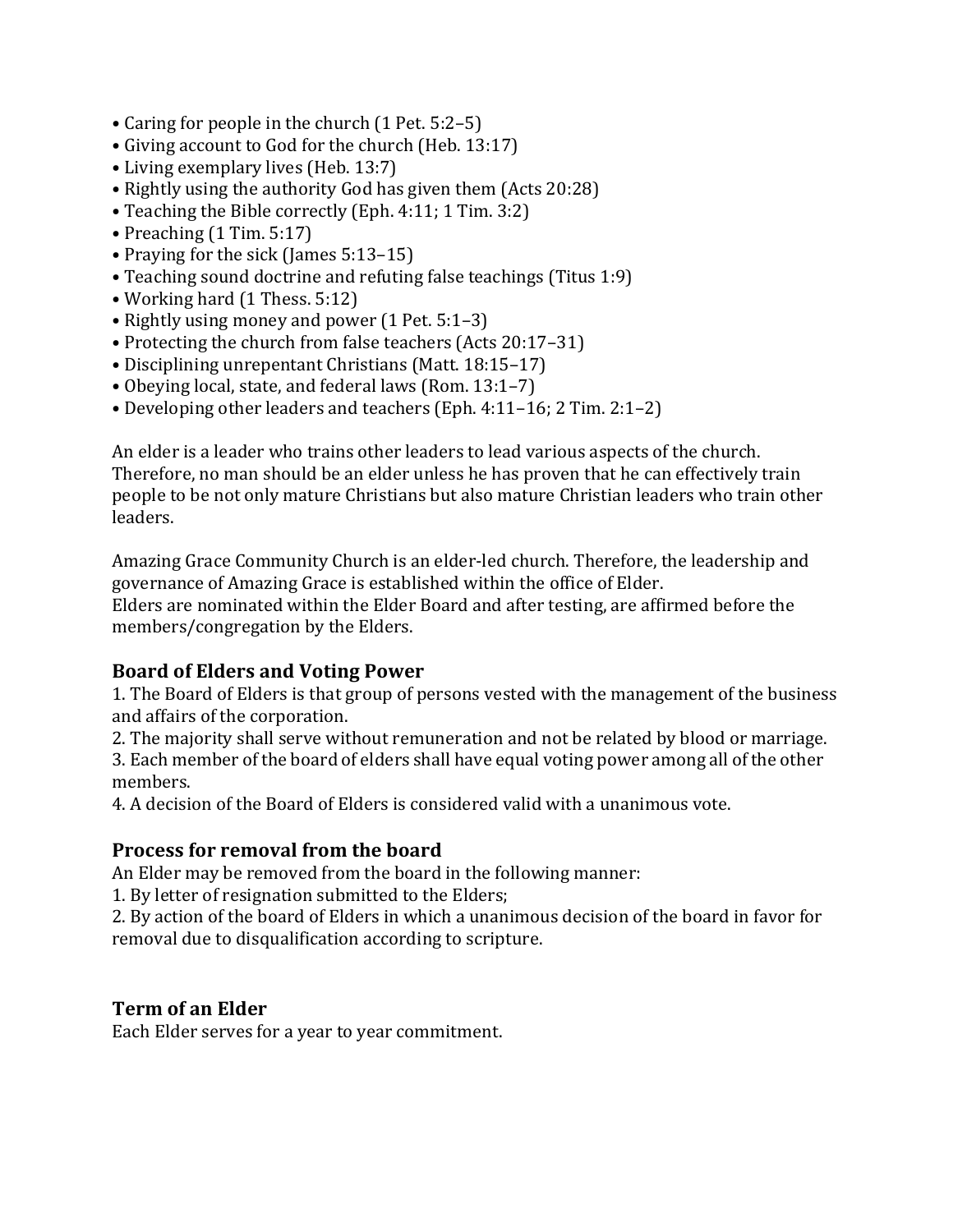- Caring for people in the church (1 Pet. 5:2–5)
- Giving account to God for the church (Heb. 13:17)
- Living exemplary lives (Heb. 13:7)
- Rightly using the authority God has given them (Acts 20:28)
- Teaching the Bible correctly (Eph. 4:11; 1 Tim. 3:2)
- Preaching (1 Tim. 5:17)
- Praying for the sick (James 5:13–15)
- Teaching sound doctrine and refuting false teachings (Titus 1:9)
- Working hard (1 Thess. 5:12)
- Rightly using money and power (1 Pet. 5:1–3)
- Protecting the church from false teachers (Acts 20:17–31)
- Disciplining unrepentant Christians (Matt. 18:15–17)
- Obeying local, state, and federal laws (Rom. 13:1–7)
- Developing other leaders and teachers (Eph. 4:11–16; 2 Tim. 2:1–2)

An elder is a leader who trains other leaders to lead various aspects of the church. Therefore, no man should be an elder unless he has proven that he can effectively train people to be not only mature Christians but also mature Christian leaders who train other leaders.

Amazing Grace Community Church is an elder-led church. Therefore, the leadership and governance of Amazing Grace is established within the office of Elder. Elders are nominated within the Elder Board and after testing, are affirmed before the members/congregation by the Elders.

#### Board of Elders and Voting Power

1. The Board of Elders is that group of persons vested with the management of the business and affairs of the corporation.

2. The majority shall serve without remuneration and not be related by blood or marriage.

3. Each member of the board of elders shall have equal voting power among all of the other members.

4. A decision of the Board of Elders is considered valid with a unanimous vote.

#### Process for removal from the board

An Elder may be removed from the board in the following manner:

1. By letter of resignation submitted to the Elders;

2. By action of the board of Elders in which a unanimous decision of the board in favor for removal due to disqualification according to scripture.

#### Term of an Elder

Each Elder serves for a year to year commitment.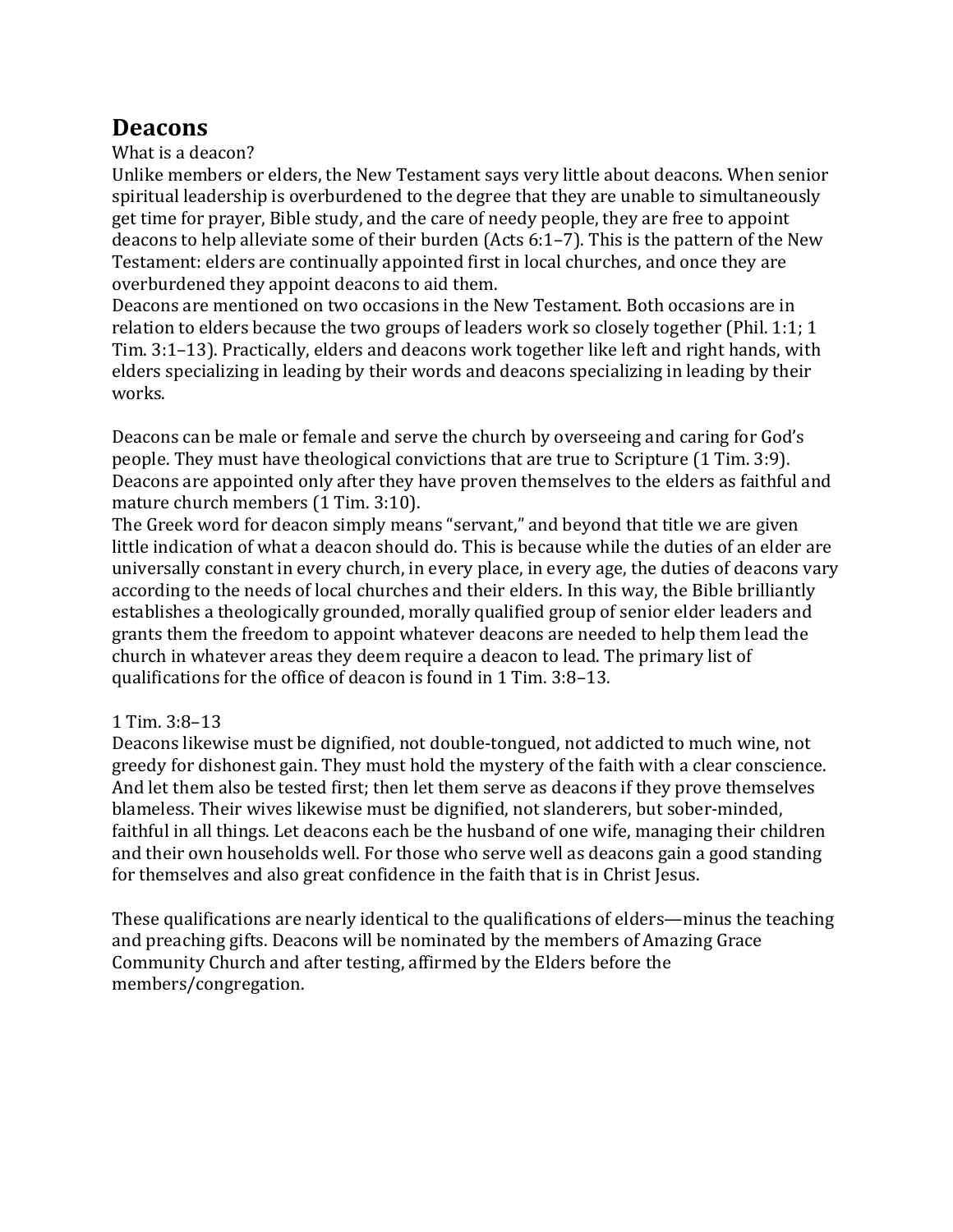### **Deacons**

#### What is a deacon?

Unlike members or elders, the New Testament says very little about deacons. When senior spiritual leadership is overburdened to the degree that they are unable to simultaneously get time for prayer, Bible study, and the care of needy people, they are free to appoint deacons to help alleviate some of their burden (Acts 6:1–7). This is the pattern of the New Testament: elders are continually appointed first in local churches, and once they are overburdened they appoint deacons to aid them.

Deacons are mentioned on two occasions in the New Testament. Both occasions are in relation to elders because the two groups of leaders work so closely together (Phil. 1:1; 1 Tim. 3:1–13). Practically, elders and deacons work together like left and right hands, with elders specializing in leading by their words and deacons specializing in leading by their works.

Deacons can be male or female and serve the church by overseeing and caring for God's people. They must have theological convictions that are true to Scripture (1 Tim. 3:9). Deacons are appointed only after they have proven themselves to the elders as faithful and mature church members (1 Tim. 3:10).

The Greek word for deacon simply means "servant," and beyond that title we are given little indication of what a deacon should do. This is because while the duties of an elder are universally constant in every church, in every place, in every age, the duties of deacons vary according to the needs of local churches and their elders. In this way, the Bible brilliantly establishes a theologically grounded, morally qualified group of senior elder leaders and grants them the freedom to appoint whatever deacons are needed to help them lead the church in whatever areas they deem require a deacon to lead. The primary list of qualifications for the office of deacon is found in 1 Tim. 3:8–13.

#### 1 Tim. 3:8–13

Deacons likewise must be dignified, not double-tongued, not addicted to much wine, not greedy for dishonest gain. They must hold the mystery of the faith with a clear conscience. And let them also be tested first; then let them serve as deacons if they prove themselves blameless. Their wives likewise must be dignified, not slanderers, but sober-minded, faithful in all things. Let deacons each be the husband of one wife, managing their children and their own households well. For those who serve well as deacons gain a good standing for themselves and also great confidence in the faith that is in Christ Jesus.

These qualifications are nearly identical to the qualifications of elders—minus the teaching and preaching gifts. Deacons will be nominated by the members of Amazing Grace Community Church and after testing, affirmed by the Elders before the members/congregation.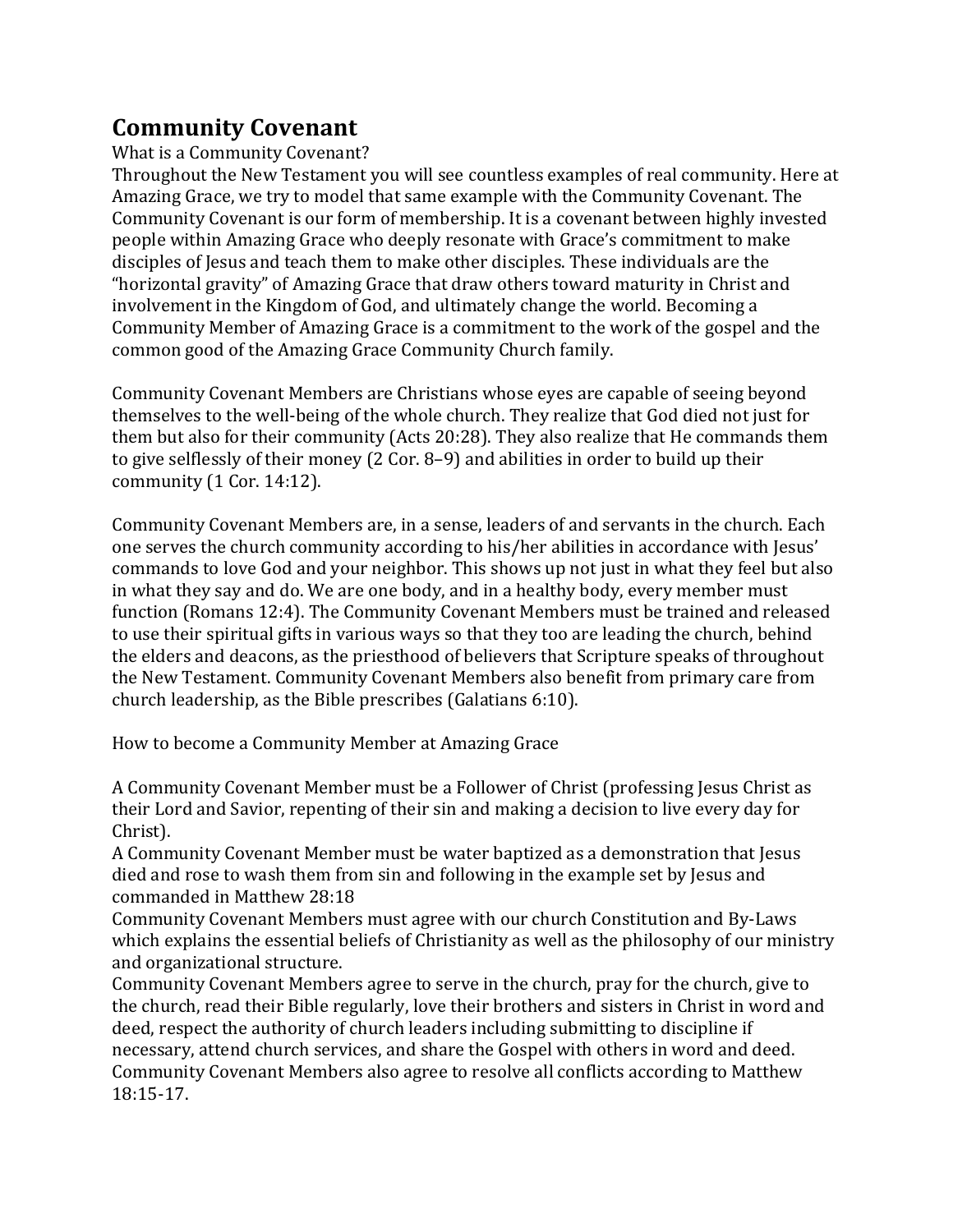### Community Covenant

What is a Community Covenant?

Throughout the New Testament you will see countless examples of real community. Here at Amazing Grace, we try to model that same example with the Community Covenant. The Community Covenant is our form of membership. It is a covenant between highly invested people within Amazing Grace who deeply resonate with Grace's commitment to make disciples of Jesus and teach them to make other disciples. These individuals are the "horizontal gravity" of Amazing Grace that draw others toward maturity in Christ and involvement in the Kingdom of God, and ultimately change the world. Becoming a Community Member of Amazing Grace is a commitment to the work of the gospel and the common good of the Amazing Grace Community Church family.

Community Covenant Members are Christians whose eyes are capable of seeing beyond themselves to the well-being of the whole church. They realize that God died not just for them but also for their community (Acts 20:28). They also realize that He commands them to give selflessly of their money (2 Cor. 8–9) and abilities in order to build up their community (1 Cor. 14:12).

Community Covenant Members are, in a sense, leaders of and servants in the church. Each one serves the church community according to his/her abilities in accordance with Jesus' commands to love God and your neighbor. This shows up not just in what they feel but also in what they say and do. We are one body, and in a healthy body, every member must function (Romans 12:4). The Community Covenant Members must be trained and released to use their spiritual gifts in various ways so that they too are leading the church, behind the elders and deacons, as the priesthood of believers that Scripture speaks of throughout the New Testament. Community Covenant Members also benefit from primary care from church leadership, as the Bible prescribes (Galatians 6:10).

How to become a Community Member at Amazing Grace

A Community Covenant Member must be a Follower of Christ (professing Jesus Christ as their Lord and Savior, repenting of their sin and making a decision to live every day for Christ).

A Community Covenant Member must be water baptized as a demonstration that Jesus died and rose to wash them from sin and following in the example set by Jesus and commanded in Matthew 28:18

Community Covenant Members must agree with our church Constitution and By-Laws which explains the essential beliefs of Christianity as well as the philosophy of our ministry and organizational structure.

Community Covenant Members agree to serve in the church, pray for the church, give to the church, read their Bible regularly, love their brothers and sisters in Christ in word and deed, respect the authority of church leaders including submitting to discipline if necessary, attend church services, and share the Gospel with others in word and deed. Community Covenant Members also agree to resolve all conflicts according to Matthew 18:15-17.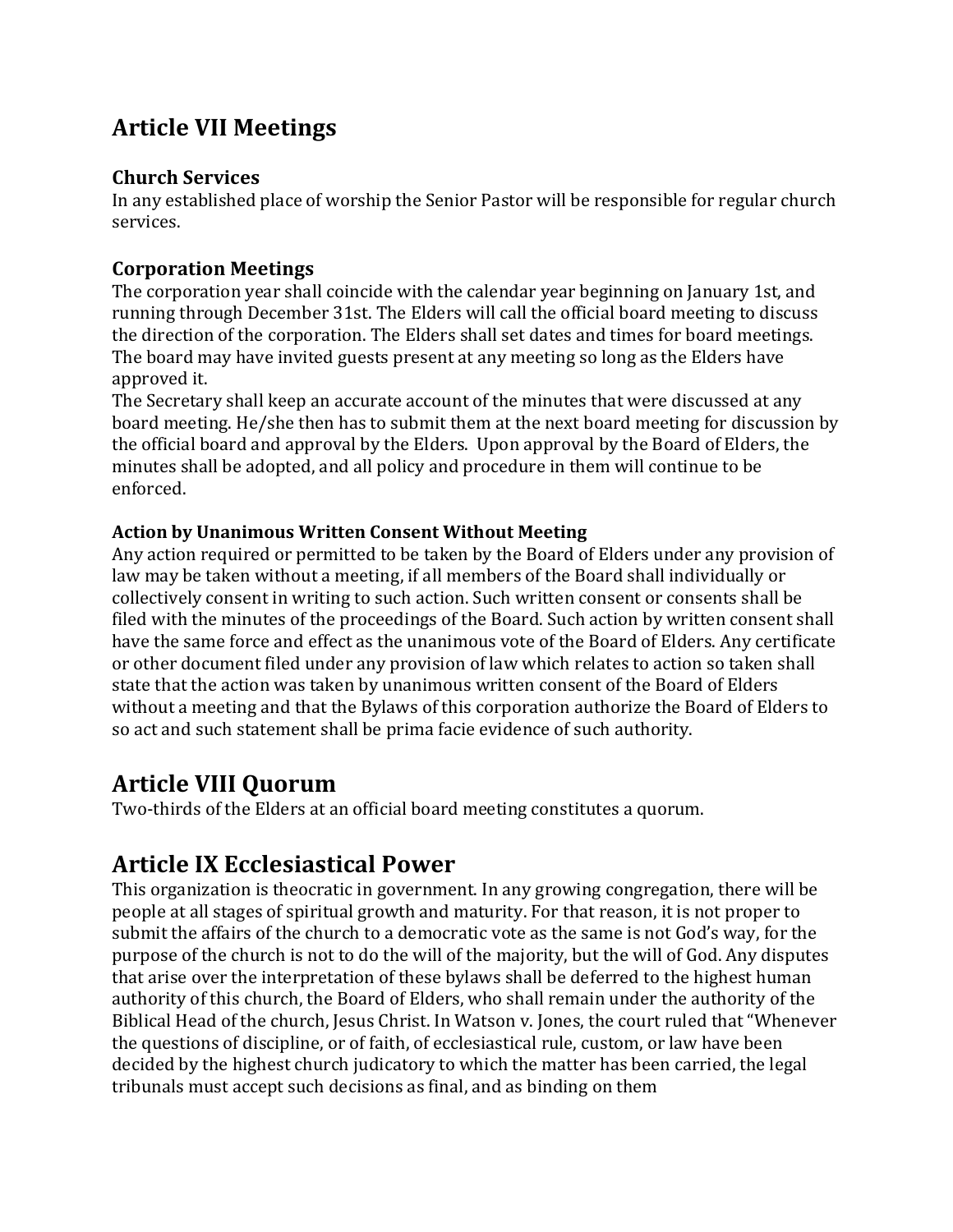## Article VII Meetings

#### Church Services

In any established place of worship the Senior Pastor will be responsible for regular church services.

#### Corporation Meetings

The corporation year shall coincide with the calendar year beginning on January 1st, and running through December 31st. The Elders will call the official board meeting to discuss the direction of the corporation. The Elders shall set dates and times for board meetings. The board may have invited guests present at any meeting so long as the Elders have approved it.

The Secretary shall keep an accurate account of the minutes that were discussed at any board meeting. He/she then has to submit them at the next board meeting for discussion by the official board and approval by the Elders. Upon approval by the Board of Elders, the minutes shall be adopted, and all policy and procedure in them will continue to be enforced.

#### Action by Unanimous Written Consent Without Meeting

Any action required or permitted to be taken by the Board of Elders under any provision of law may be taken without a meeting, if all members of the Board shall individually or collectively consent in writing to such action. Such written consent or consents shall be filed with the minutes of the proceedings of the Board. Such action by written consent shall have the same force and effect as the unanimous vote of the Board of Elders. Any certificate or other document filed under any provision of law which relates to action so taken shall state that the action was taken by unanimous written consent of the Board of Elders without a meeting and that the Bylaws of this corporation authorize the Board of Elders to so act and such statement shall be prima facie evidence of such authority.

### Article VIII Quorum

Two-thirds of the Elders at an official board meeting constitutes a quorum.

## Article IX Ecclesiastical Power

This organization is theocratic in government. In any growing congregation, there will be people at all stages of spiritual growth and maturity. For that reason, it is not proper to submit the affairs of the church to a democratic vote as the same is not God's way, for the purpose of the church is not to do the will of the majority, but the will of God. Any disputes that arise over the interpretation of these bylaws shall be deferred to the highest human authority of this church, the Board of Elders, who shall remain under the authority of the Biblical Head of the church, Jesus Christ. In Watson v. Jones, the court ruled that "Whenever the questions of discipline, or of faith, of ecclesiastical rule, custom, or law have been decided by the highest church judicatory to which the matter has been carried, the legal tribunals must accept such decisions as final, and as binding on them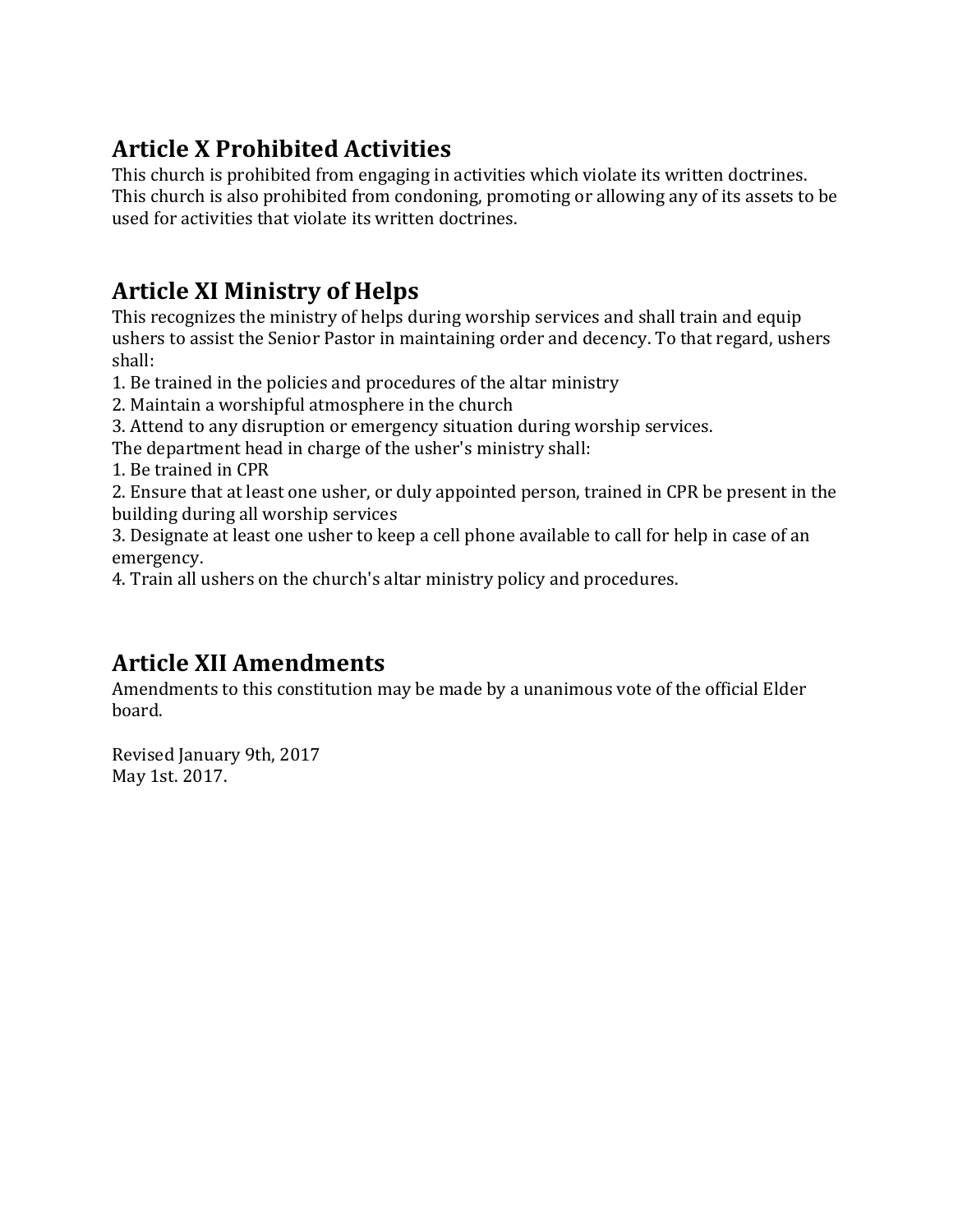## Article X Prohibited Activities

This church is prohibited from engaging in activities which violate its written doctrines. This church is also prohibited from condoning, promoting or allowing any of its assets to be used for activities that violate its written doctrines.

## Article XI Ministry of Helps

This recognizes the ministry of helps during worship services and shall train and equip ushers to assist the Senior Pastor in maintaining order and decency. To that regard, ushers shall:

- 1. Be trained in the policies and procedures of the altar ministry
- 2. Maintain a worshipful atmosphere in the church
- 3. Attend to any disruption or emergency situation during worship services.

The department head in charge of the usher's ministry shall:

1. Be trained in CPR

2. Ensure that at least one usher, or duly appointed person, trained in CPR be present in the building during all worship services

3. Designate at least one usher to keep a cell phone available to call for help in case of an emergency.

4. Train all ushers on the church's altar ministry policy and procedures.

### Article XII Amendments

Amendments to this constitution may be made by a unanimous vote of the official Elder board.

Revised January 9th, 2017 May 1st. 2017.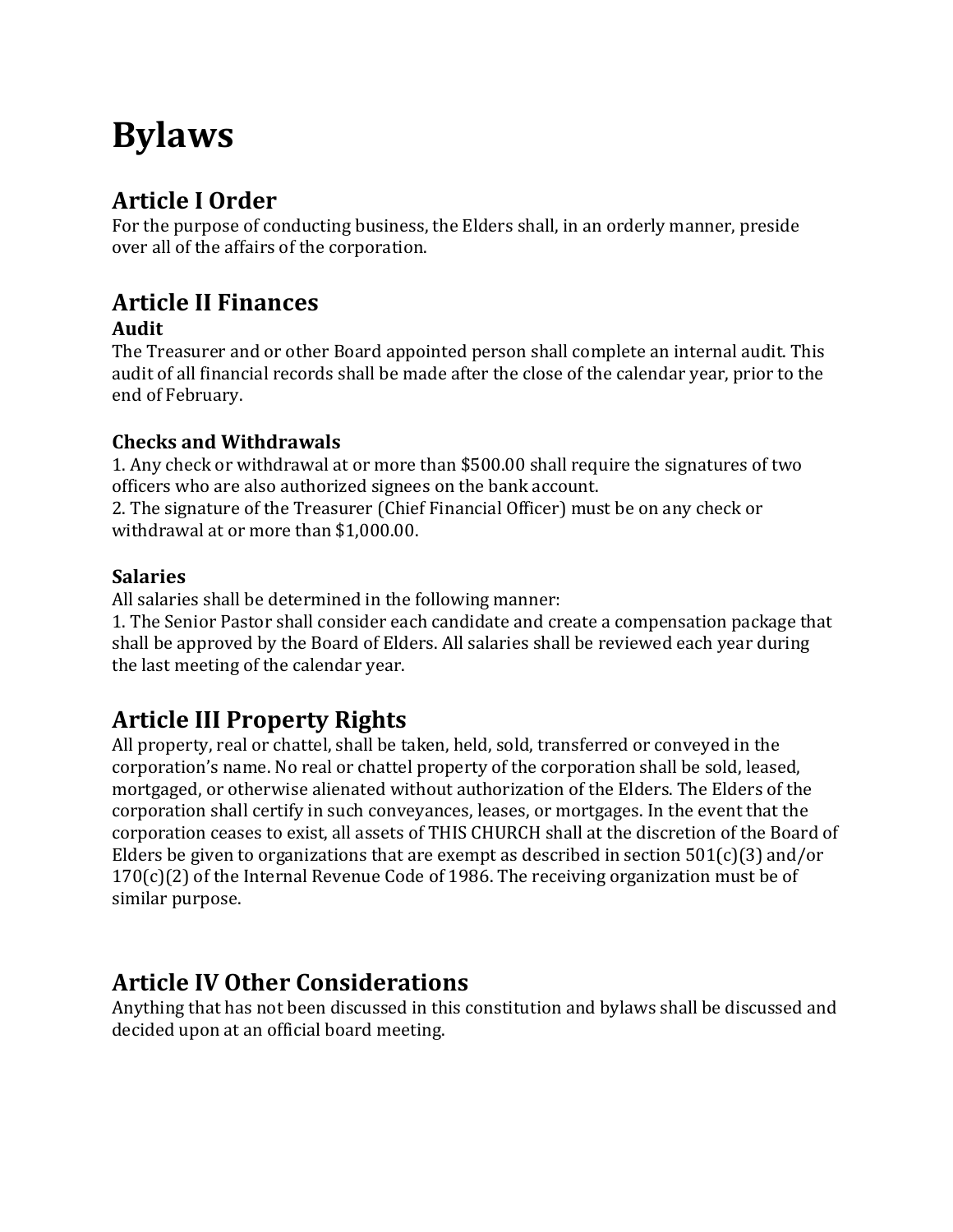# Bylaws

# Article I Order

For the purpose of conducting business, the Elders shall, in an orderly manner, preside over all of the affairs of the corporation.

# Article II Finances

### Audit

The Treasurer and or other Board appointed person shall complete an internal audit. This audit of all financial records shall be made after the close of the calendar year, prior to the end of February.

### Checks and Withdrawals

1. Any check or withdrawal at or more than \$500.00 shall require the signatures of two officers who are also authorized signees on the bank account.

2. The signature of the Treasurer (Chief Financial Officer) must be on any check or withdrawal at or more than \$1,000.00.

### **Salaries**

All salaries shall be determined in the following manner:

1. The Senior Pastor shall consider each candidate and create a compensation package that shall be approved by the Board of Elders. All salaries shall be reviewed each year during the last meeting of the calendar year.

# Article III Property Rights

All property, real or chattel, shall be taken, held, sold, transferred or conveyed in the corporation's name. No real or chattel property of the corporation shall be sold, leased, mortgaged, or otherwise alienated without authorization of the Elders. The Elders of the corporation shall certify in such conveyances, leases, or mortgages. In the event that the corporation ceases to exist, all assets of THIS CHURCH shall at the discretion of the Board of Elders be given to organizations that are exempt as described in section  $501(c)(3)$  and/or 170(c)(2) of the Internal Revenue Code of 1986. The receiving organization must be of similar purpose.

# Article IV Other Considerations

Anything that has not been discussed in this constitution and bylaws shall be discussed and decided upon at an official board meeting.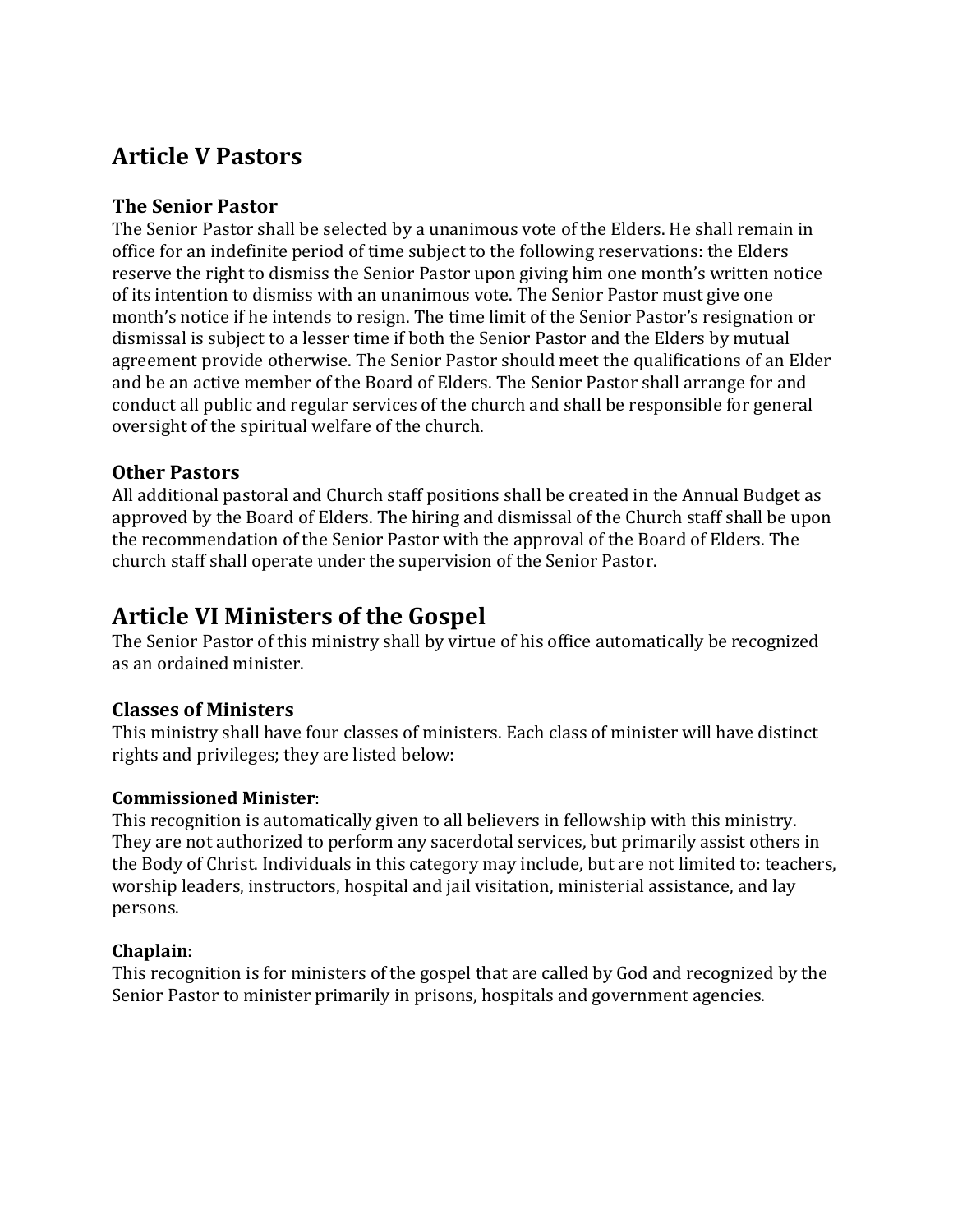### Article V Pastors

#### The Senior Pastor

The Senior Pastor shall be selected by a unanimous vote of the Elders. He shall remain in office for an indefinite period of time subject to the following reservations: the Elders reserve the right to dismiss the Senior Pastor upon giving him one month's written notice of its intention to dismiss with an unanimous vote. The Senior Pastor must give one month's notice if he intends to resign. The time limit of the Senior Pastor's resignation or dismissal is subject to a lesser time if both the Senior Pastor and the Elders by mutual agreement provide otherwise. The Senior Pastor should meet the qualifications of an Elder and be an active member of the Board of Elders. The Senior Pastor shall arrange for and conduct all public and regular services of the church and shall be responsible for general oversight of the spiritual welfare of the church.

#### Other Pastors

All additional pastoral and Church staff positions shall be created in the Annual Budget as approved by the Board of Elders. The hiring and dismissal of the Church staff shall be upon the recommendation of the Senior Pastor with the approval of the Board of Elders. The church staff shall operate under the supervision of the Senior Pastor.

### Article VI Ministers of the Gospel

The Senior Pastor of this ministry shall by virtue of his office automatically be recognized as an ordained minister.

#### Classes of Ministers

This ministry shall have four classes of ministers. Each class of minister will have distinct rights and privileges; they are listed below:

#### Commissioned Minister:

This recognition is automatically given to all believers in fellowship with this ministry. They are not authorized to perform any sacerdotal services, but primarily assist others in the Body of Christ. Individuals in this category may include, but are not limited to: teachers, worship leaders, instructors, hospital and jail visitation, ministerial assistance, and lay persons.

#### Chaplain:

This recognition is for ministers of the gospel that are called by God and recognized by the Senior Pastor to minister primarily in prisons, hospitals and government agencies.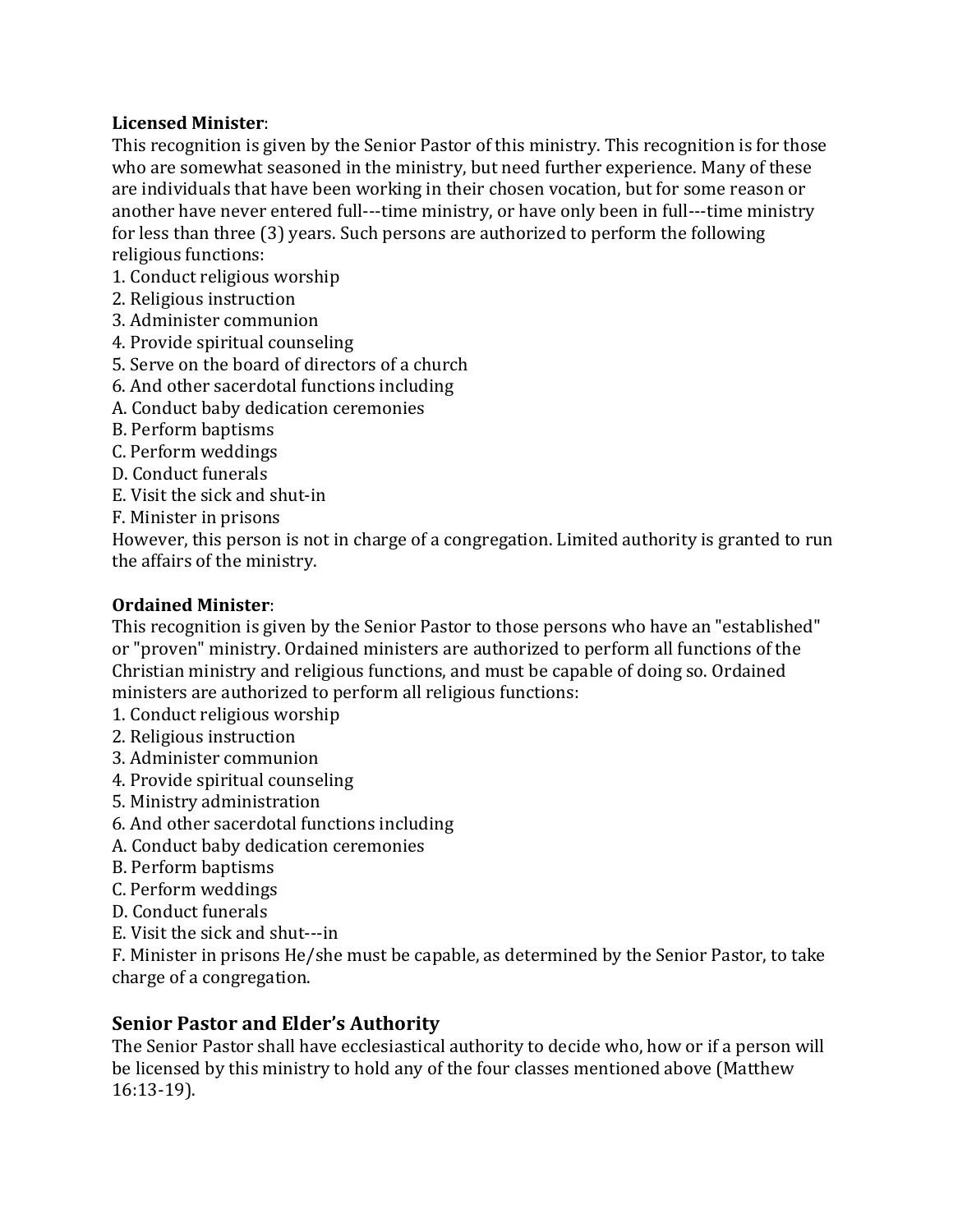#### Licensed Minister:

This recognition is given by the Senior Pastor of this ministry. This recognition is for those who are somewhat seasoned in the ministry, but need further experience. Many of these are individuals that have been working in their chosen vocation, but for some reason or another have never entered full---time ministry, or have only been in full---time ministry for less than three (3) years. Such persons are authorized to perform the following religious functions:

- 1. Conduct religious worship
- 2. Religious instruction
- 3. Administer communion
- 4. Provide spiritual counseling
- 5. Serve on the board of directors of a church
- 6. And other sacerdotal functions including
- A. Conduct baby dedication ceremonies
- B. Perform baptisms
- C. Perform weddings
- D. Conduct funerals
- E. Visit the sick and shut-in
- F. Minister in prisons

However, this person is not in charge of a congregation. Limited authority is granted to run the affairs of the ministry.

#### Ordained Minister:

This recognition is given by the Senior Pastor to those persons who have an "established" or "proven" ministry. Ordained ministers are authorized to perform all functions of the Christian ministry and religious functions, and must be capable of doing so. Ordained ministers are authorized to perform all religious functions:

- 1. Conduct religious worship
- 2. Religious instruction
- 3. Administer communion
- 4. Provide spiritual counseling
- 5. Ministry administration
- 6. And other sacerdotal functions including
- A. Conduct baby dedication ceremonies
- B. Perform baptisms
- C. Perform weddings
- D. Conduct funerals
- E. Visit the sick and shut---in

F. Minister in prisons He/she must be capable, as determined by the Senior Pastor, to take charge of a congregation.

#### Senior Pastor and Elder's Authority

The Senior Pastor shall have ecclesiastical authority to decide who, how or if a person will be licensed by this ministry to hold any of the four classes mentioned above (Matthew 16:13-19).